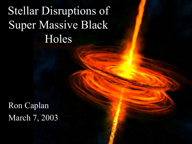# Stellar Disruptions of Super Massive Black Holes

Ron Caplan March 7, 2003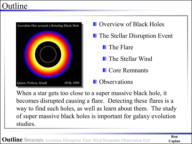### tline



- **Overview of Black Holes**
- **The Stellar Disruption Event** 
	- **The Flare**
	- **The Stellar Wind**
	- **Core Remnants**
- **Observations**

When a star gets too close to a super massive black hole, it becomes disrupted causing a flare. Detecting these flares is a way to find such holes, as well as learn about them. The study of super massive black holes is important for galaxy evolution studies.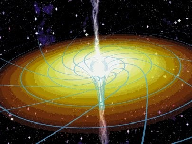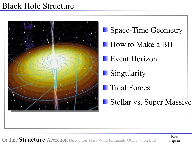#### Black Hole Structure



**Space-Time Geometry How to Make a BH Event Horizon Singularity Tidal Forces Stellar vs. Super Massive** 

Outline **Structure** Accretion Disruption Flare Wind Remnants Observation End Caplan

**Ron**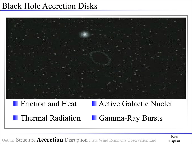### Black Hole Accretion Disks



### **Thermal Radiation Gamma-Ray Bursts**

Outline Structure **Accretion** Disruption Flare Wind Remnants Observation End Caplan

**Ron**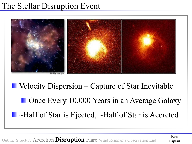### The Stellar Disruption Event



**N** Velocity Dispersion – Capture of Star Inevitable **Once Every 10,000 Years in an Average Galaxy** ■ ~Half of Star is Ejected, ~Half of Star is Accreted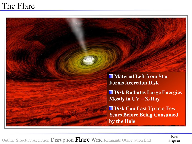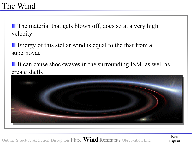### The Wind

**The material that gets blown off, does so at a very high** velocity

**Energy of this stellar wind is equal to the that from a** supernovae

If can cause shockwaves in the surrounding ISM, as well as create shells



**Ron**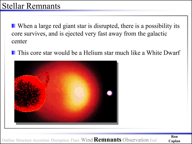**Notable 1** When a large red giant star is disrupted, there is a possibility its core survives, and is ejected very fast away from the galactic center

This core star would be a Helium star much like a White Dwarf

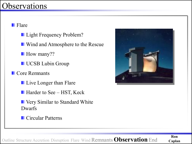#### **Observations**

**Flare** 

- **Light Frequency Problem?**
- **No. 3** Wind and Atmosphere to the Rescue
- **How many??**
- **UCSB Lubin Group**
- **Core Remnants** 
	- **Live Longer than Flare**
	- **Harder to See HST, Keck**
	- **Now Similar to Standard White** Dwarfs
	- **Circular Patterns**



**Ron**